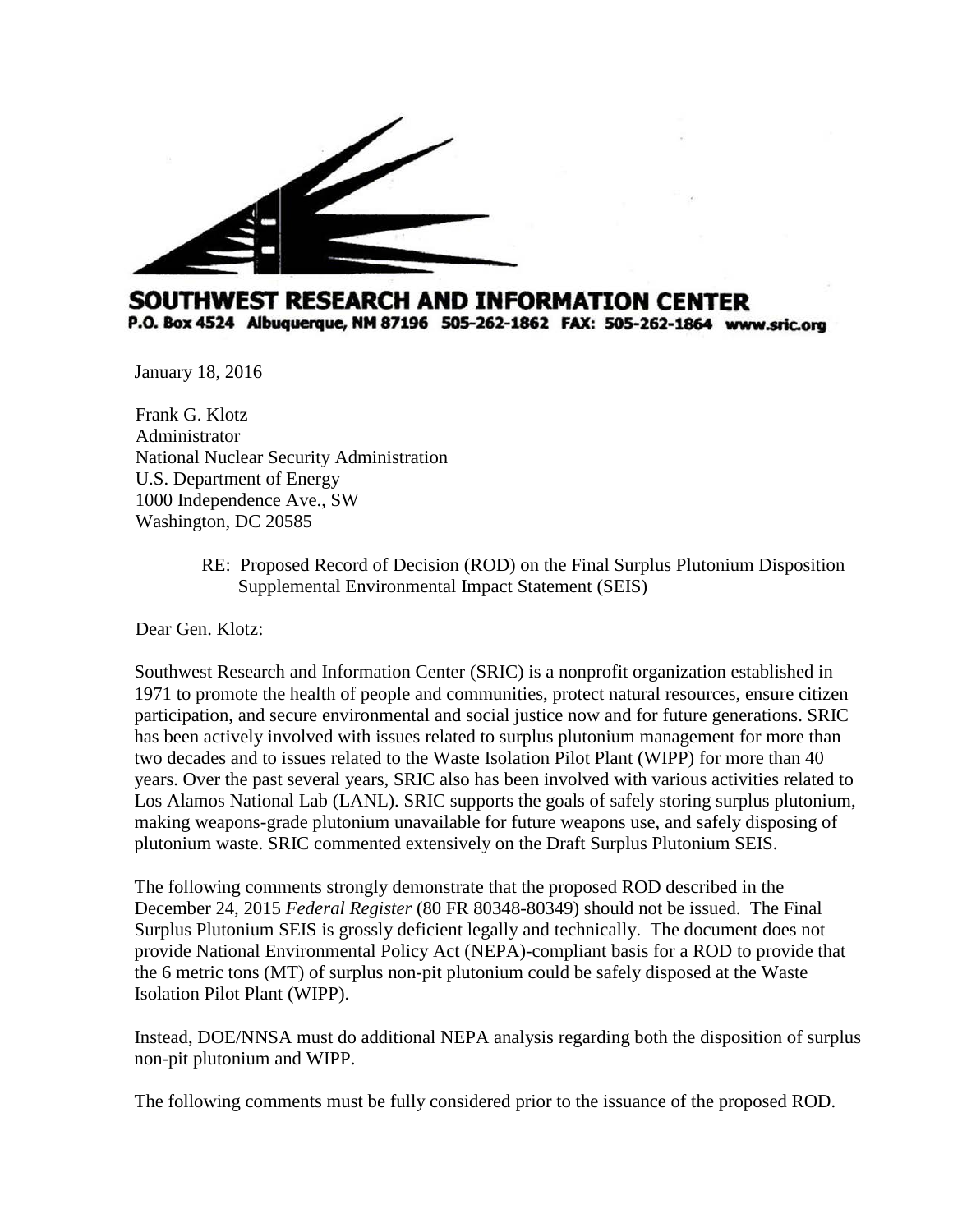

# SOUTHWEST RESEARCH AND INFORMATION CENTER P.O. Box 4524 Albuquerque, NM 87196 505-262-1862 FAX: 505-262-1864 www.sric.org

January 18, 2016

 Frank G. Klotz Administrator National Nuclear Security Administration U.S. Department of Energy 1000 Independence Ave., SW Washington, DC 20585

> RE: Proposed Record of Decision (ROD) on the Final Surplus Plutonium Disposition Supplemental Environmental Impact Statement (SEIS)

Dear Gen. Klotz:

Southwest Research and Information Center (SRIC) is a nonprofit organization established in 1971 to promote the health of people and communities, protect natural resources, ensure citizen participation, and secure environmental and social justice now and for future generations. SRIC has been actively involved with issues related to surplus plutonium management for more than two decades and to issues related to the Waste Isolation Pilot Plant (WIPP) for more than 40 years. Over the past several years, SRIC also has been involved with various activities related to Los Alamos National Lab (LANL). SRIC supports the goals of safely storing surplus plutonium, making weapons-grade plutonium unavailable for future weapons use, and safely disposing of plutonium waste. SRIC commented extensively on the Draft Surplus Plutonium SEIS.

The following comments strongly demonstrate that the proposed ROD described in the December 24, 2015 *Federal Register* (80 FR 80348-80349) should not be issued. The Final Surplus Plutonium SEIS is grossly deficient legally and technically. The document does not provide National Environmental Policy Act (NEPA)-compliant basis for a ROD to provide that the 6 metric tons (MT) of surplus non-pit plutonium could be safely disposed at the Waste Isolation Pilot Plant (WIPP).

Instead, DOE/NNSA must do additional NEPA analysis regarding both the disposition of surplus non-pit plutonium and WIPP.

The following comments must be fully considered prior to the issuance of the proposed ROD.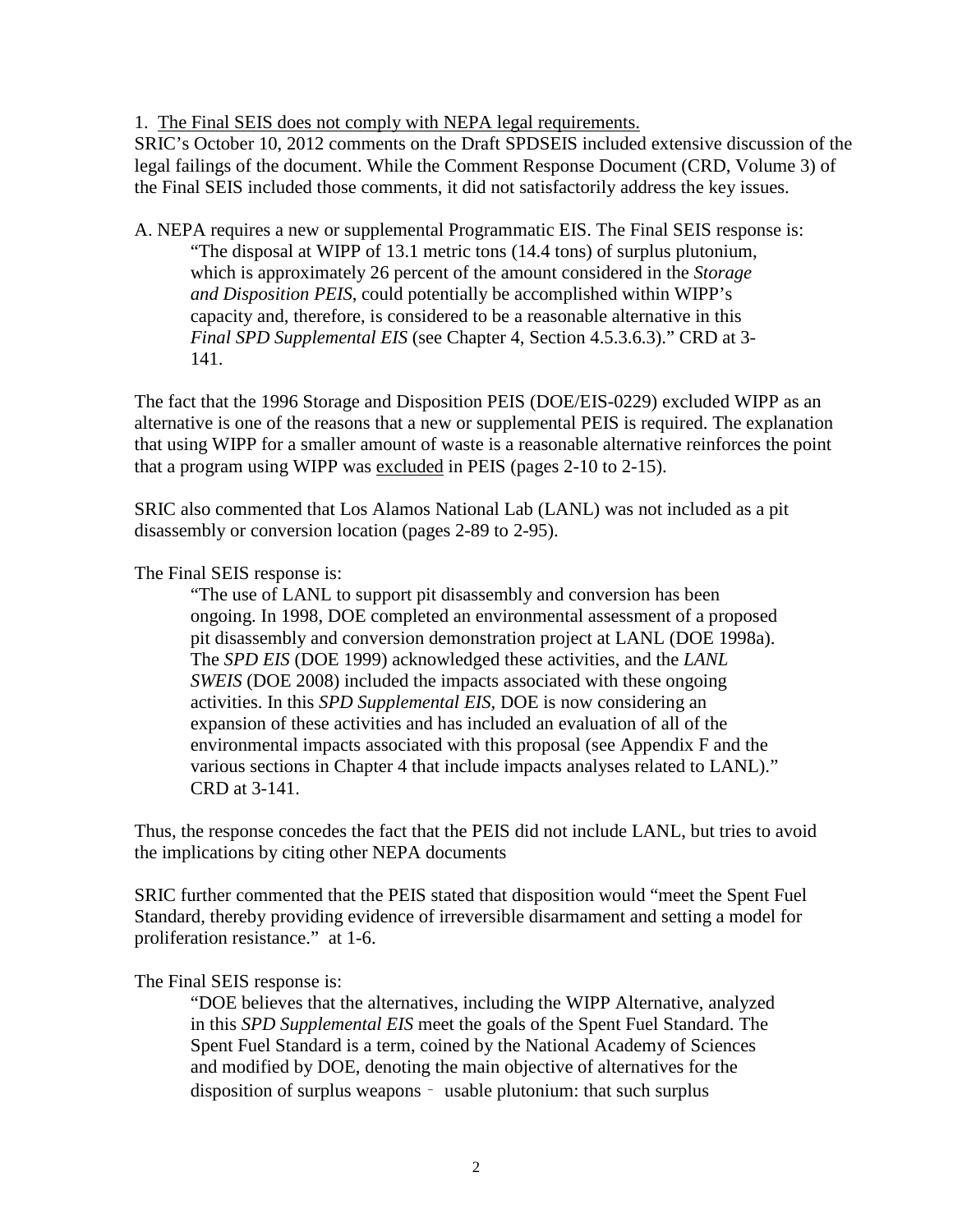1. The Final SEIS does not comply with NEPA legal requirements.

SRIC's October 10, 2012 comments on the Draft SPDSEIS included extensive discussion of the legal failings of the document. While the Comment Response Document (CRD, Volume 3) of the Final SEIS included those comments, it did not satisfactorily address the key issues.

A. NEPA requires a new or supplemental Programmatic EIS. The Final SEIS response is: "The disposal at WIPP of 13.1 metric tons (14.4 tons) of surplus plutonium, which is approximately 26 percent of the amount considered in the *Storage and Disposition PEIS*, could potentially be accomplished within WIPP's capacity and, therefore, is considered to be a reasonable alternative in this *Final SPD Supplemental EIS* (see Chapter 4, Section 4.5.3.6.3)." CRD at 3- 141.

The fact that the 1996 Storage and Disposition PEIS (DOE/EIS-0229) excluded WIPP as an alternative is one of the reasons that a new or supplemental PEIS is required. The explanation that using WIPP for a smaller amount of waste is a reasonable alternative reinforces the point that a program using WIPP was excluded in PEIS (pages 2-10 to 2-15).

SRIC also commented that Los Alamos National Lab (LANL) was not included as a pit disassembly or conversion location (pages 2-89 to 2-95).

### The Final SEIS response is:

"The use of LANL to support pit disassembly and conversion has been ongoing. In 1998, DOE completed an environmental assessment of a proposed pit disassembly and conversion demonstration project at LANL (DOE 1998a). The *SPD EIS* (DOE 1999) acknowledged these activities, and the *LANL SWEIS* (DOE 2008) included the impacts associated with these ongoing activities. In this *SPD Supplemental EIS,* DOE is now considering an expansion of these activities and has included an evaluation of all of the environmental impacts associated with this proposal (see Appendix F and the various sections in Chapter 4 that include impacts analyses related to LANL)." CRD at 3-141.

Thus, the response concedes the fact that the PEIS did not include LANL, but tries to avoid the implications by citing other NEPA documents

SRIC further commented that the PEIS stated that disposition would "meet the Spent Fuel Standard, thereby providing evidence of irreversible disarmament and setting a model for proliferation resistance." at 1-6.

#### The Final SEIS response is:

"DOE believes that the alternatives, including the WIPP Alternative, analyzed in this *SPD Supplemental EIS* meet the goals of the Spent Fuel Standard. The Spent Fuel Standard is a term, coined by the National Academy of Sciences and modified by DOE, denoting the main objective of alternatives for the disposition of surplus weapons – usable plutonium: that such surplus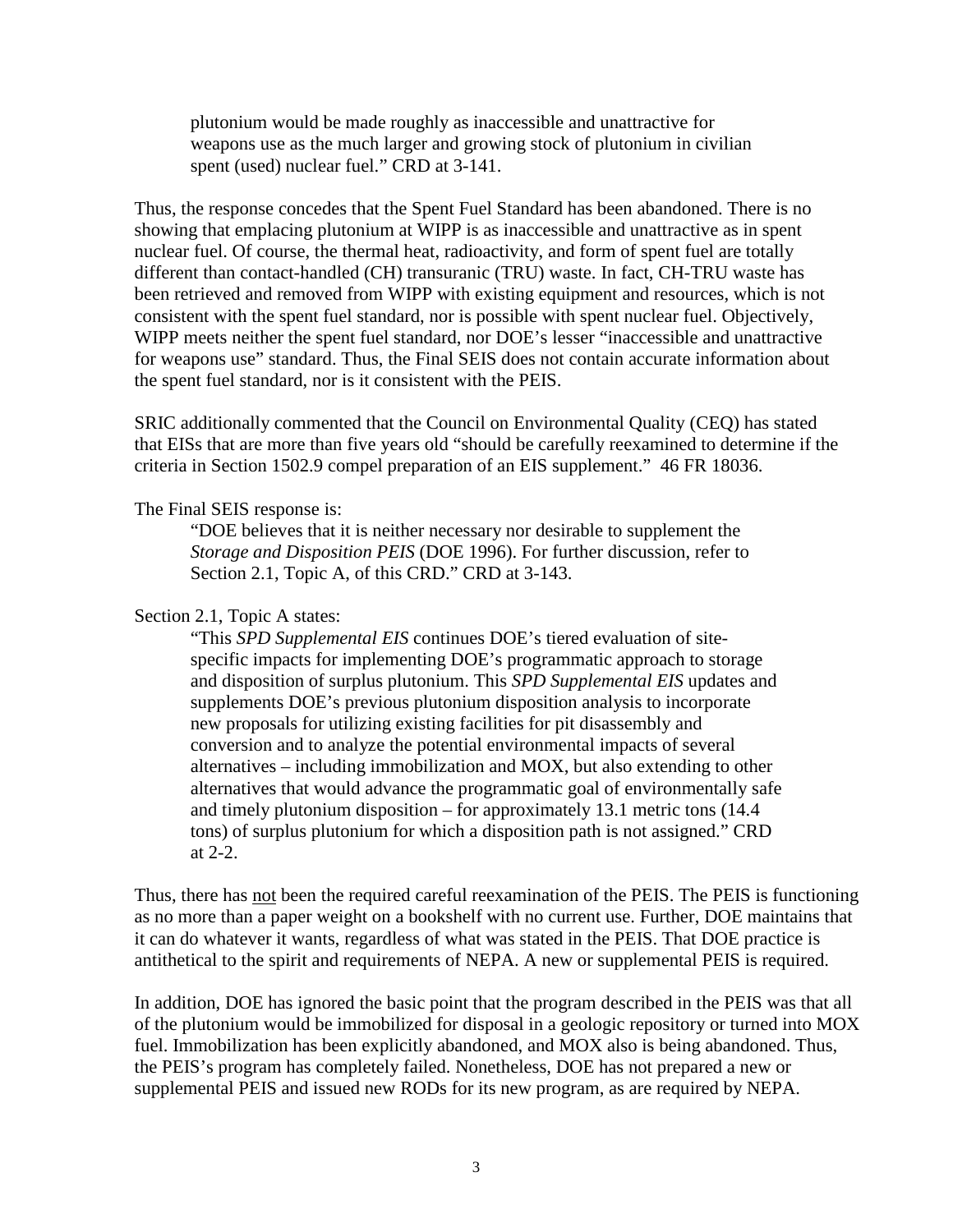plutonium would be made roughly as inaccessible and unattractive for weapons use as the much larger and growing stock of plutonium in civilian spent (used) nuclear fuel." CRD at 3-141.

Thus, the response concedes that the Spent Fuel Standard has been abandoned. There is no showing that emplacing plutonium at WIPP is as inaccessible and unattractive as in spent nuclear fuel. Of course, the thermal heat, radioactivity, and form of spent fuel are totally different than contact-handled (CH) transuranic (TRU) waste. In fact, CH-TRU waste has been retrieved and removed from WIPP with existing equipment and resources, which is not consistent with the spent fuel standard, nor is possible with spent nuclear fuel. Objectively, WIPP meets neither the spent fuel standard, nor DOE's lesser "inaccessible and unattractive for weapons use" standard. Thus, the Final SEIS does not contain accurate information about the spent fuel standard, nor is it consistent with the PEIS.

SRIC additionally commented that the Council on Environmental Quality (CEQ) has stated that EISs that are more than five years old "should be carefully reexamined to determine if the criteria in Section 1502.9 compel preparation of an EIS supplement." 46 FR 18036.

### The Final SEIS response is:

"DOE believes that it is neither necessary nor desirable to supplement the *Storage and Disposition PEIS* (DOE 1996). For further discussion, refer to Section 2.1, Topic A, of this CRD." CRD at 3-143.

# Section 2.1, Topic A states:

"This *SPD Supplemental EIS* continues DOE's tiered evaluation of sitespecific impacts for implementing DOE's programmatic approach to storage and disposition of surplus plutonium. This *SPD Supplemental EIS* updates and supplements DOE's previous plutonium disposition analysis to incorporate new proposals for utilizing existing facilities for pit disassembly and conversion and to analyze the potential environmental impacts of several alternatives – including immobilization and MOX, but also extending to other alternatives that would advance the programmatic goal of environmentally safe and timely plutonium disposition – for approximately 13.1 metric tons (14.4 tons) of surplus plutonium for which a disposition path is not assigned." CRD at 2-2.

Thus, there has not been the required careful reexamination of the PEIS. The PEIS is functioning as no more than a paper weight on a bookshelf with no current use. Further, DOE maintains that it can do whatever it wants, regardless of what was stated in the PEIS. That DOE practice is antithetical to the spirit and requirements of NEPA. A new or supplemental PEIS is required.

In addition, DOE has ignored the basic point that the program described in the PEIS was that all of the plutonium would be immobilized for disposal in a geologic repository or turned into MOX fuel. Immobilization has been explicitly abandoned, and MOX also is being abandoned. Thus, the PEIS's program has completely failed. Nonetheless, DOE has not prepared a new or supplemental PEIS and issued new RODs for its new program, as are required by NEPA.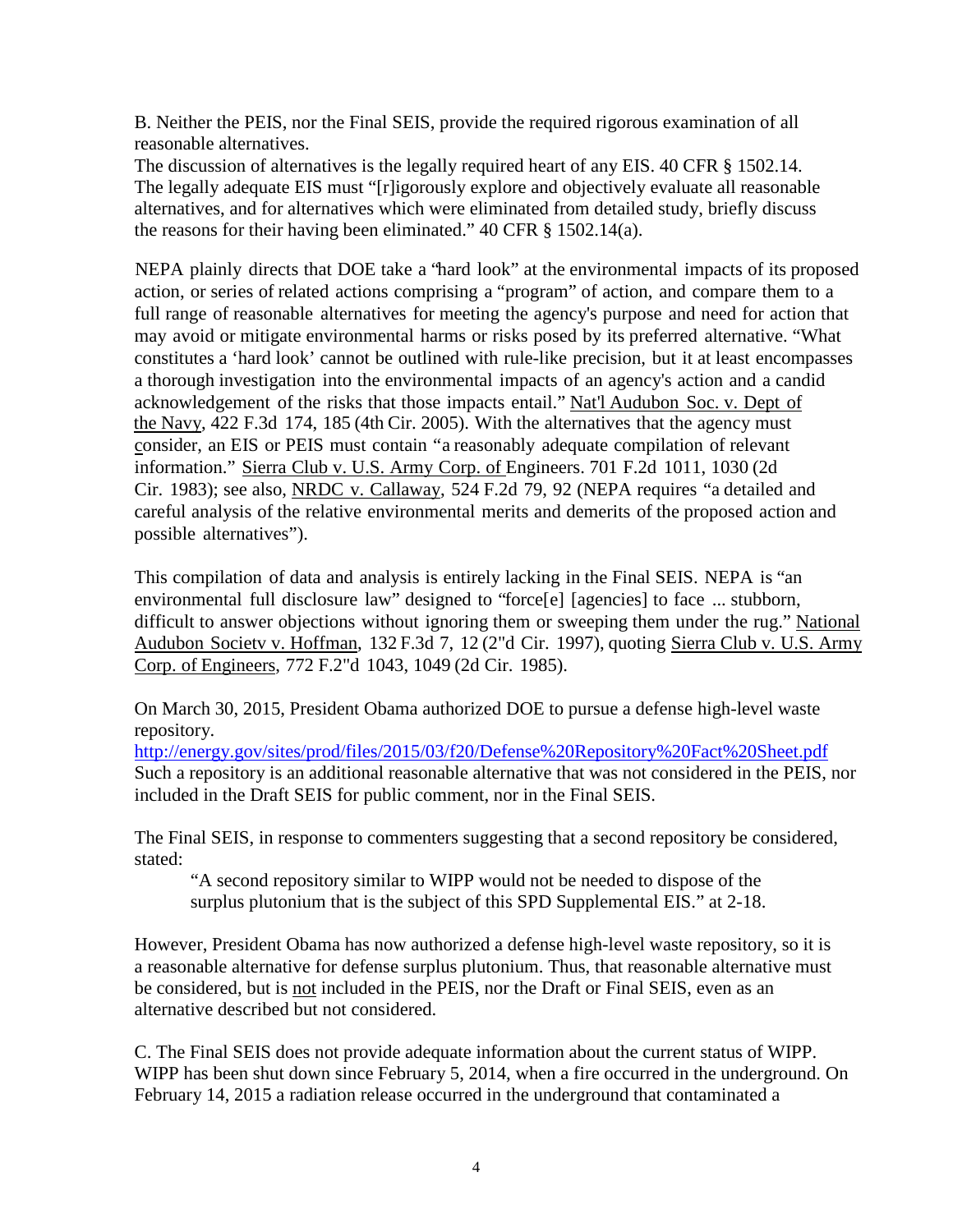B. Neither the PEIS, nor the Final SEIS, provide the required rigorous examination of all reasonable alternatives.

The discussion of alternatives is the legally required heart of any EIS. 40 CFR § 1502.14. The legally adequate EIS must "[r]igorously explore and objectively evaluate all reasonable alternatives, and for alternatives which were eliminated from detailed study, briefly discuss the reasons for their having been eliminated." 40 CFR § 1502.14(a).

NEPA plainly directs that DOE take a "hard look" at the environmental impacts of its proposed action, or series of related actions comprising a "program" of action, and compare them to a full range of reasonable alternatives for meeting the agency's purpose and need for action that may avoid or mitigate environmental harms or risks posed by its preferred alternative. "What constitutes a 'hard look' cannot be outlined with rule-like precision, but it at least encompasses a thorough investigation into the environmental impacts of an agency's action and a candid acknowledgement of the risks that those impacts entail." Nat'l Audubon Soc. v. Dept of the Navy, 422 F.3d 174, 185 (4th Cir. 2005). With the alternatives that the agency must consider, an EIS or PEIS must contain "a reasonably adequate compilation of relevant information." Sierra Club v. U.S. Army Corp. of Engineers. 701 F.2d 1011, 1030 (2d Cir. 1983); see also, NRDC v. Callaway, 524 F.2d 79, 92 (NEPA requires "a detailed and careful analysis of the relative environmental merits and demerits of the proposed action and possible alternatives").

This compilation of data and analysis is entirely lacking in the Final SEIS. NEPA is "an environmental full disclosure law" designed to "force[e] [agencies] to face ... stubborn, difficult to answer objections without ignoring them or sweeping them under the rug." National Audubon Societv v. Hoffman, 132 F.3d 7, 12 (2"d Cir. 1997), quoting Sierra Club v. U.S. Army Corp. of Engineers, 772 F.2"d 1043, 1049 (2d Cir. 1985).

On March 30, 2015, President Obama authorized DOE to pursue a defense high-level waste repository.

<http://energy.gov/sites/prod/files/2015/03/f20/Defense%20Repository%20Fact%20Sheet.pdf> Such a repository is an additional reasonable alternative that was not considered in the PEIS, nor included in the Draft SEIS for public comment, nor in the Final SEIS.

The Final SEIS, in response to commenters suggesting that a second repository be considered, stated:

"A second repository similar to WIPP would not be needed to dispose of the surplus plutonium that is the subject of this SPD Supplemental EIS." at 2-18.

However, President Obama has now authorized a defense high-level waste repository, so it is a reasonable alternative for defense surplus plutonium. Thus, that reasonable alternative must be considered, but is not included in the PEIS, nor the Draft or Final SEIS, even as an alternative described but not considered.

C. The Final SEIS does not provide adequate information about the current status of WIPP. WIPP has been shut down since February 5, 2014, when a fire occurred in the underground. On February 14, 2015 a radiation release occurred in the underground that contaminated a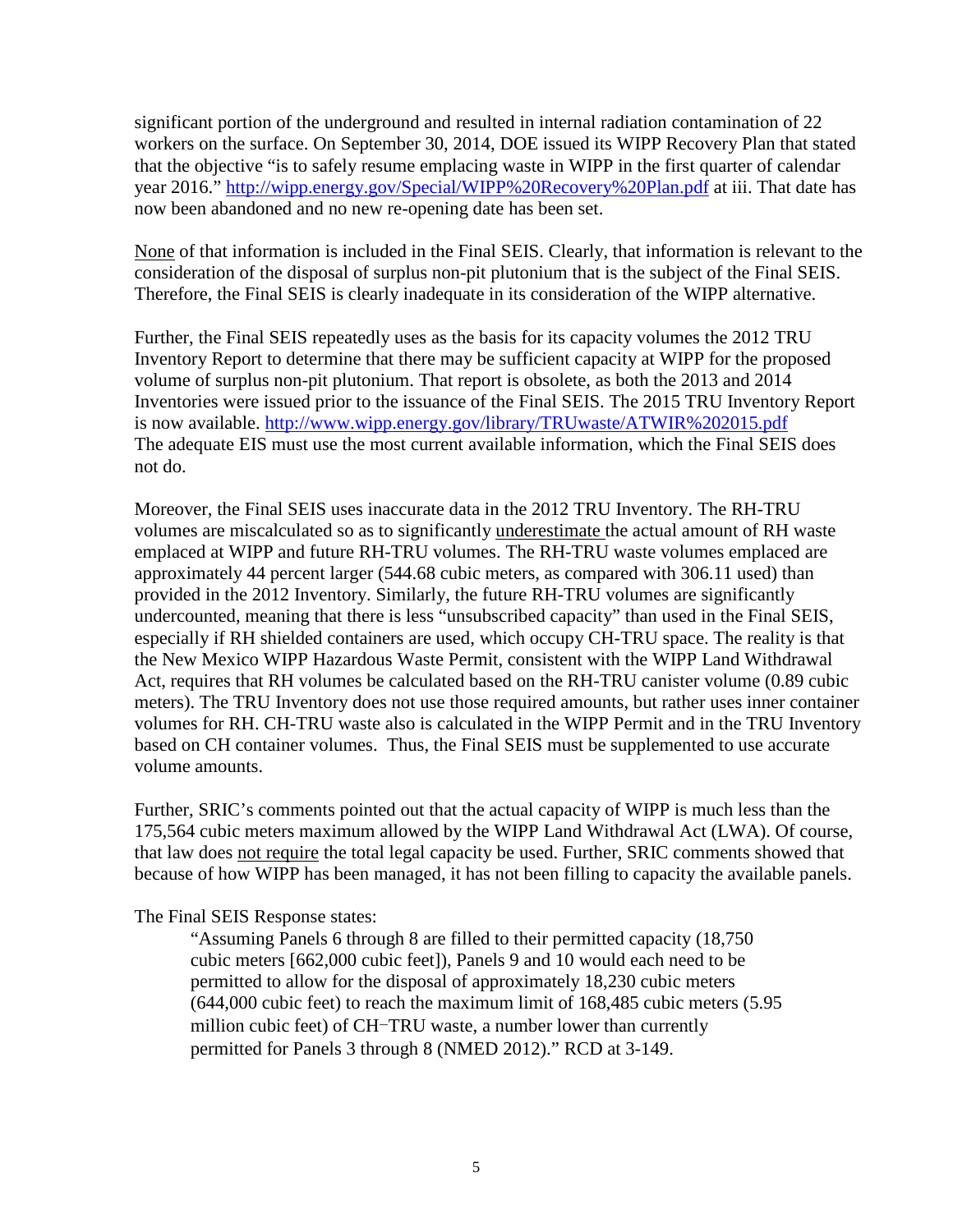significant portion of the underground and resulted in internal radiation contamination of 22 workers on the surface. On September 30, 2014, DOE issued its WIPP Recovery Plan that stated that the objective "is to safely resume emplacing waste in WIPP in the first quarter of calendar year 2016."<http://wipp.energy.gov/Special/WIPP%20Recovery%20Plan.pdf> at iii. That date has now been abandoned and no new re-opening date has been set.

None of that information is included in the Final SEIS. Clearly, that information is relevant to the consideration of the disposal of surplus non-pit plutonium that is the subject of the Final SEIS. Therefore, the Final SEIS is clearly inadequate in its consideration of the WIPP alternative.

Further, the Final SEIS repeatedly uses as the basis for its capacity volumes the 2012 TRU Inventory Report to determine that there may be sufficient capacity at WIPP for the proposed volume of surplus non-pit plutonium. That report is obsolete, as both the 2013 and 2014 Inventories were issued prior to the issuance of the Final SEIS. The 2015 TRU Inventory Report is now available.<http://www.wipp.energy.gov/library/TRUwaste/ATWIR%202015.pdf> The adequate EIS must use the most current available information, which the Final SEIS does not do.

Moreover, the Final SEIS uses inaccurate data in the 2012 TRU Inventory. The RH-TRU volumes are miscalculated so as to significantly underestimate the actual amount of RH waste emplaced at WIPP and future RH-TRU volumes. The RH-TRU waste volumes emplaced are approximately 44 percent larger (544.68 cubic meters, as compared with 306.11 used) than provided in the 2012 Inventory. Similarly, the future RH-TRU volumes are significantly undercounted, meaning that there is less "unsubscribed capacity" than used in the Final SEIS, especially if RH shielded containers are used, which occupy CH-TRU space. The reality is that the New Mexico WIPP Hazardous Waste Permit, consistent with the WIPP Land Withdrawal Act, requires that RH volumes be calculated based on the RH-TRU canister volume (0.89 cubic meters). The TRU Inventory does not use those required amounts, but rather uses inner container volumes for RH. CH-TRU waste also is calculated in the WIPP Permit and in the TRU Inventory based on CH container volumes. Thus, the Final SEIS must be supplemented to use accurate volume amounts.

Further, SRIC's comments pointed out that the actual capacity of WIPP is much less than the 175,564 cubic meters maximum allowed by the WIPP Land Withdrawal Act (LWA). Of course, that law does not require the total legal capacity be used. Further, SRIC comments showed that because of how WIPP has been managed, it has not been filling to capacity the available panels.

The Final SEIS Response states:

"Assuming Panels 6 through 8 are filled to their permitted capacity (18,750 cubic meters [662,000 cubic feet]), Panels 9 and 10 would each need to be permitted to allow for the disposal of approximately 18,230 cubic meters (644,000 cubic feet) to reach the maximum limit of 168,485 cubic meters (5.95 million cubic feet) of CH-TRU waste, a number lower than currently permitted for Panels 3 through 8 (NMED 2012)." RCD at 3-149.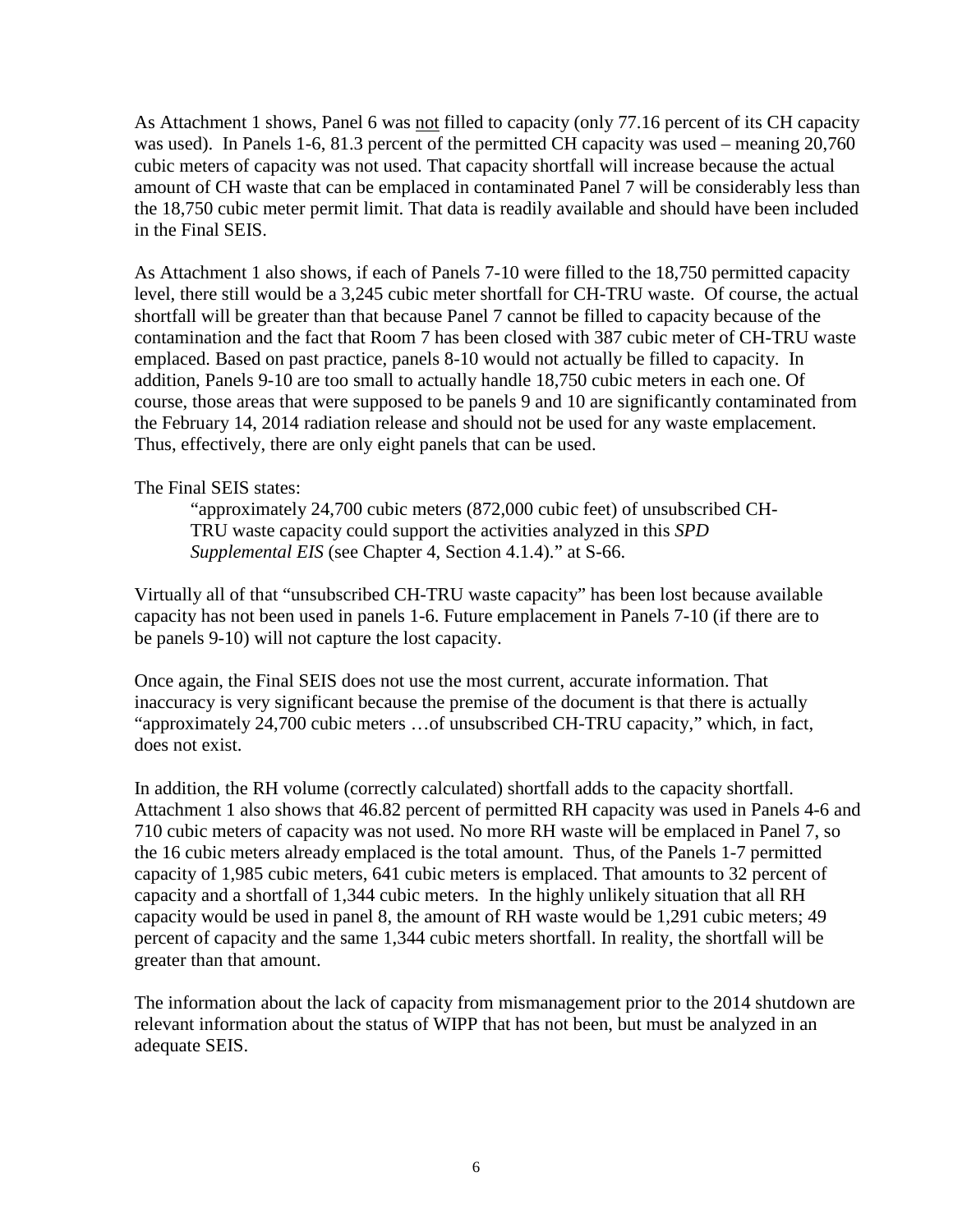As Attachment 1 shows, Panel 6 was not filled to capacity (only 77.16 percent of its CH capacity was used). In Panels 1-6, 81.3 percent of the permitted CH capacity was used – meaning 20,760 cubic meters of capacity was not used. That capacity shortfall will increase because the actual amount of CH waste that can be emplaced in contaminated Panel 7 will be considerably less than the 18,750 cubic meter permit limit. That data is readily available and should have been included in the Final SEIS.

As Attachment 1 also shows, if each of Panels 7-10 were filled to the 18,750 permitted capacity level, there still would be a 3,245 cubic meter shortfall for CH-TRU waste. Of course, the actual shortfall will be greater than that because Panel 7 cannot be filled to capacity because of the contamination and the fact that Room 7 has been closed with 387 cubic meter of CH-TRU waste emplaced. Based on past practice, panels 8-10 would not actually be filled to capacity. In addition, Panels 9-10 are too small to actually handle 18,750 cubic meters in each one. Of course, those areas that were supposed to be panels 9 and 10 are significantly contaminated from the February 14, 2014 radiation release and should not be used for any waste emplacement. Thus, effectively, there are only eight panels that can be used.

### The Final SEIS states:

"approximately 24,700 cubic meters (872,000 cubic feet) of unsubscribed CH-TRU waste capacity could support the activities analyzed in this *SPD Supplemental EIS* (see Chapter 4, Section 4.1.4)." at S-66.

Virtually all of that "unsubscribed CH-TRU waste capacity" has been lost because available capacity has not been used in panels 1-6. Future emplacement in Panels 7-10 (if there are to be panels 9-10) will not capture the lost capacity.

Once again, the Final SEIS does not use the most current, accurate information. That inaccuracy is very significant because the premise of the document is that there is actually "approximately 24,700 cubic meters …of unsubscribed CH-TRU capacity," which, in fact, does not exist.

In addition, the RH volume (correctly calculated) shortfall adds to the capacity shortfall. Attachment 1 also shows that 46.82 percent of permitted RH capacity was used in Panels 4-6 and 710 cubic meters of capacity was not used. No more RH waste will be emplaced in Panel 7, so the 16 cubic meters already emplaced is the total amount. Thus, of the Panels 1-7 permitted capacity of 1,985 cubic meters, 641 cubic meters is emplaced. That amounts to 32 percent of capacity and a shortfall of 1,344 cubic meters. In the highly unlikely situation that all RH capacity would be used in panel 8, the amount of RH waste would be 1,291 cubic meters; 49 percent of capacity and the same 1,344 cubic meters shortfall. In reality, the shortfall will be greater than that amount.

The information about the lack of capacity from mismanagement prior to the 2014 shutdown are relevant information about the status of WIPP that has not been, but must be analyzed in an adequate SEIS.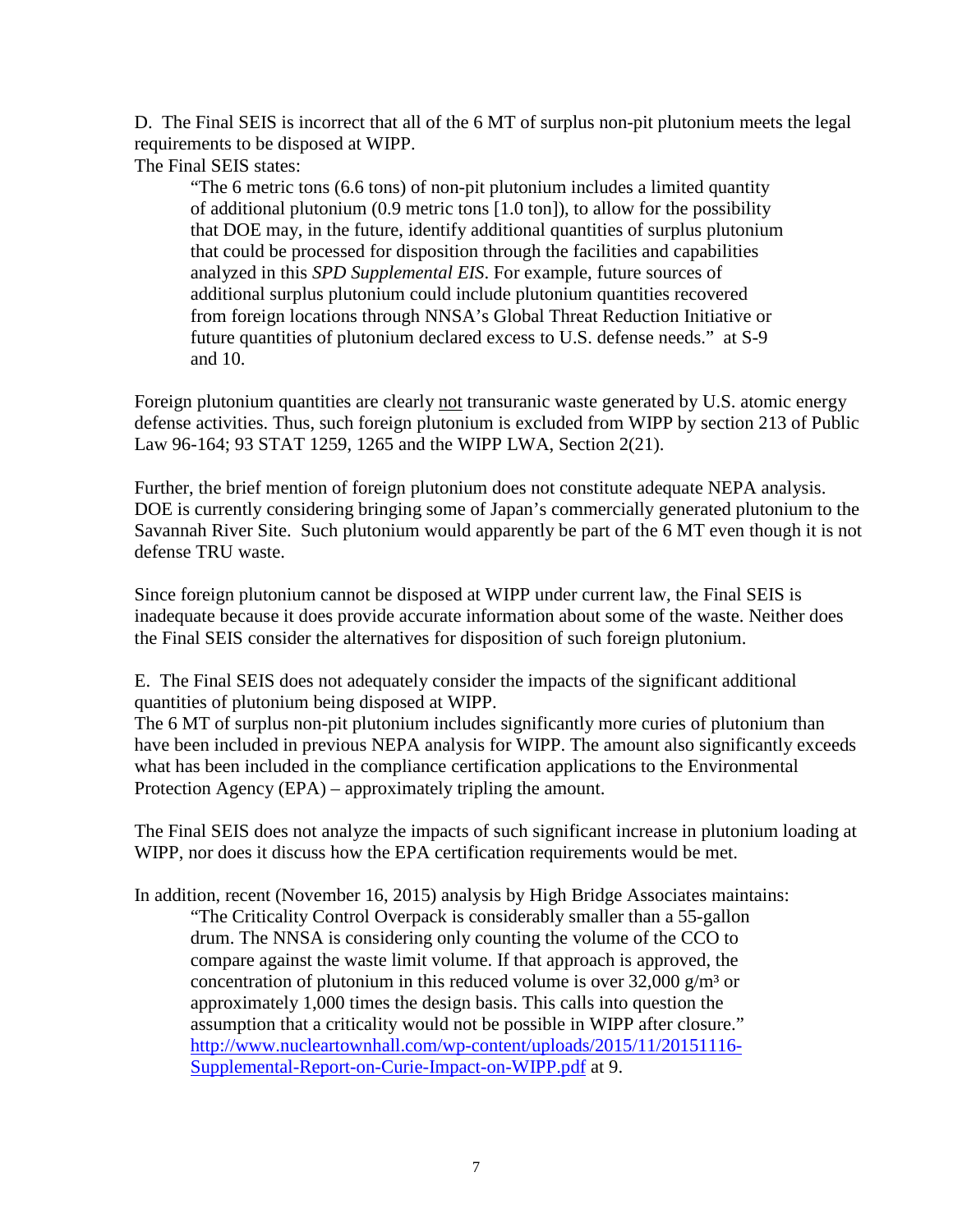D. The Final SEIS is incorrect that all of the 6 MT of surplus non-pit plutonium meets the legal requirements to be disposed at WIPP. The Final SEIS states:

"The 6 metric tons (6.6 tons) of non-pit plutonium includes a limited quantity of additional plutonium (0.9 metric tons [1.0 ton]), to allow for the possibility that DOE may, in the future, identify additional quantities of surplus plutonium that could be processed for disposition through the facilities and capabilities

analyzed in this *SPD Supplemental EIS*. For example, future sources of additional surplus plutonium could include plutonium quantities recovered from foreign locations through NNSA's Global Threat Reduction Initiative or future quantities of plutonium declared excess to U.S. defense needs." at S-9 and 10.

Foreign plutonium quantities are clearly not transuranic waste generated by U.S. atomic energy defense activities. Thus, such foreign plutonium is excluded from WIPP by section 213 of Public Law 96-164; 93 STAT 1259, 1265 and the WIPP LWA, Section 2(21).

Further, the brief mention of foreign plutonium does not constitute adequate NEPA analysis. DOE is currently considering bringing some of Japan's commercially generated plutonium to the Savannah River Site. Such plutonium would apparently be part of the 6 MT even though it is not defense TRU waste.

Since foreign plutonium cannot be disposed at WIPP under current law, the Final SEIS is inadequate because it does provide accurate information about some of the waste. Neither does the Final SEIS consider the alternatives for disposition of such foreign plutonium.

E. The Final SEIS does not adequately consider the impacts of the significant additional quantities of plutonium being disposed at WIPP.

The 6 MT of surplus non-pit plutonium includes significantly more curies of plutonium than have been included in previous NEPA analysis for WIPP. The amount also significantly exceeds what has been included in the compliance certification applications to the Environmental Protection Agency (EPA) – approximately tripling the amount.

The Final SEIS does not analyze the impacts of such significant increase in plutonium loading at WIPP, nor does it discuss how the EPA certification requirements would be met.

In addition, recent (November 16, 2015) analysis by High Bridge Associates maintains: "The Criticality Control Overpack is considerably smaller than a 55-gallon drum. The NNSA is considering only counting the volume of the CCO to compare against the waste limit volume. If that approach is approved, the concentration of plutonium in this reduced volume is over  $32,000$  g/m<sup>3</sup> or approximately 1,000 times the design basis. This calls into question the assumption that a criticality would not be possible in WIPP after closure." [http://www.nucleartownhall.com/wp-content/uploads/2015/11/20151116-](http://www.nucleartownhall.com/wp-content/uploads/2015/11/20151116-Supplemental-Report-on-Curie-Impact-on-WIPP.pdf) [Supplemental-Report-on-Curie-Impact-on-WIPP.pdf](http://www.nucleartownhall.com/wp-content/uploads/2015/11/20151116-Supplemental-Report-on-Curie-Impact-on-WIPP.pdf) at 9.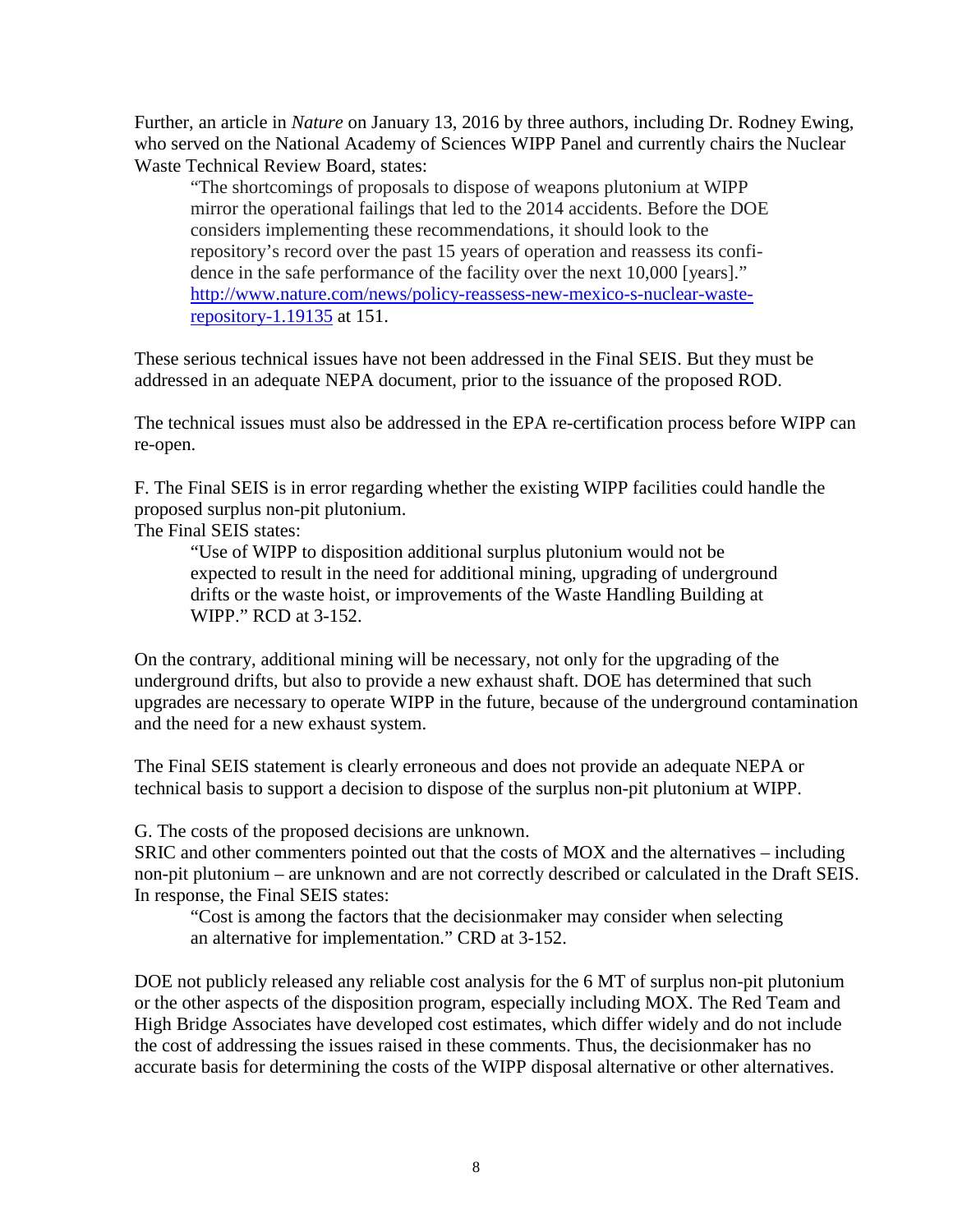Further, an article in *Nature* on January 13, 2016 by three authors, including Dr. Rodney Ewing, who served on the National Academy of Sciences WIPP Panel and currently chairs the Nuclear Waste Technical Review Board, states:

"The shortcomings of proposals to dispose of weapons plutonium at WIPP mirror the operational failings that led to the 2014 accidents. Before the DOE considers implementing these recommendations, it should look to the repository's record over the past 15 years of operation and reassess its confidence in the safe performance of the facility over the next 10,000 [years]." [http://www.nature.com/news/policy-reassess-new-mexico-s-nuclear-waste](http://www.nature.com/news/policy-reassess-new-mexico-s-nuclear-waste-repository-1.19135)[repository-1.19135](http://www.nature.com/news/policy-reassess-new-mexico-s-nuclear-waste-repository-1.19135) at 151.

These serious technical issues have not been addressed in the Final SEIS. But they must be addressed in an adequate NEPA document, prior to the issuance of the proposed ROD.

The technical issues must also be addressed in the EPA re-certification process before WIPP can re-open.

F. The Final SEIS is in error regarding whether the existing WIPP facilities could handle the proposed surplus non-pit plutonium.

The Final SEIS states:

"Use of WIPP to disposition additional surplus plutonium would not be expected to result in the need for additional mining, upgrading of underground drifts or the waste hoist, or improvements of the Waste Handling Building at WIPP." RCD at 3-152.

On the contrary, additional mining will be necessary, not only for the upgrading of the underground drifts, but also to provide a new exhaust shaft. DOE has determined that such upgrades are necessary to operate WIPP in the future, because of the underground contamination and the need for a new exhaust system.

The Final SEIS statement is clearly erroneous and does not provide an adequate NEPA or technical basis to support a decision to dispose of the surplus non-pit plutonium at WIPP.

G. The costs of the proposed decisions are unknown.

SRIC and other commenters pointed out that the costs of MOX and the alternatives – including non-pit plutonium – are unknown and are not correctly described or calculated in the Draft SEIS. In response, the Final SEIS states:

"Cost is among the factors that the decisionmaker may consider when selecting an alternative for implementation." CRD at 3-152.

DOE not publicly released any reliable cost analysis for the 6 MT of surplus non-pit plutonium or the other aspects of the disposition program, especially including MOX. The Red Team and High Bridge Associates have developed cost estimates, which differ widely and do not include the cost of addressing the issues raised in these comments. Thus, the decisionmaker has no accurate basis for determining the costs of the WIPP disposal alternative or other alternatives.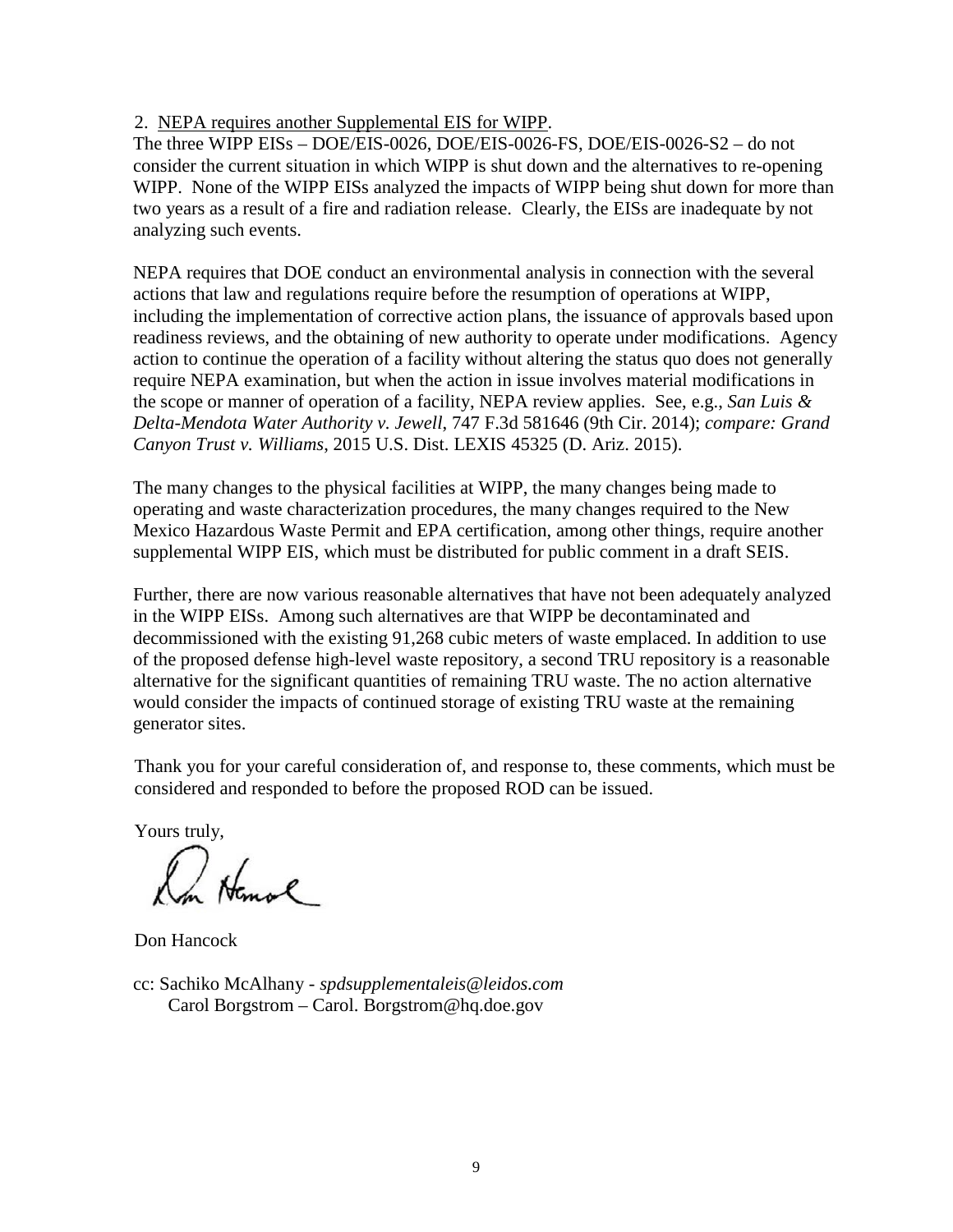# 2. NEPA requires another Supplemental EIS for WIPP.

The three WIPP EISs – DOE/EIS-0026, DOE/EIS-0026-FS, DOE/EIS-0026-S2 – do not consider the current situation in which WIPP is shut down and the alternatives to re-opening WIPP. None of the WIPP EISs analyzed the impacts of WIPP being shut down for more than two years as a result of a fire and radiation release. Clearly, the EISs are inadequate by not analyzing such events.

NEPA requires that DOE conduct an environmental analysis in connection with the several actions that law and regulations require before the resumption of operations at WIPP, including the implementation of corrective action plans, the issuance of approvals based upon readiness reviews, and the obtaining of new authority to operate under modifications. Agency action to continue the operation of a facility without altering the status quo does not generally require NEPA examination, but when the action in issue involves material modifications in the scope or manner of operation of a facility, NEPA review applies. See, e.g., *San Luis & Delta-Mendota Water Authority v. Jewell*, 747 F.3d 581646 (9th Cir. 2014); *compare: Grand Canyon Trust v. Williams*, 2015 U.S. Dist. LEXIS 45325 (D. Ariz. 2015).

The many changes to the physical facilities at WIPP, the many changes being made to operating and waste characterization procedures, the many changes required to the New Mexico Hazardous Waste Permit and EPA certification, among other things, require another supplemental WIPP EIS, which must be distributed for public comment in a draft SEIS.

Further, there are now various reasonable alternatives that have not been adequately analyzed in the WIPP EISs. Among such alternatives are that WIPP be decontaminated and decommissioned with the existing 91,268 cubic meters of waste emplaced. In addition to use of the proposed defense high-level waste repository, a second TRU repository is a reasonable alternative for the significant quantities of remaining TRU waste. The no action alternative would consider the impacts of continued storage of existing TRU waste at the remaining generator sites.

Thank you for your careful consideration of, and response to, these comments, which must be considered and responded to before the proposed ROD can be issued.

Yours truly,

On Homol

Don Hancock

cc: Sachiko McAlhany - *spdsupplementaleis@leidos.com* Carol Borgstrom – Carol. Borgstrom@hq.doe.gov